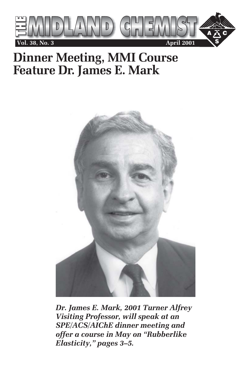

## **Dinner Meeting, MMI Course Feature Dr. James E. Mark**



*Dr. James E. Mark, 2001 Turner Alfrey Visiting Professor, will speak at an SPE/ACS/AIChE dinner meeting and offer a course in May on "Rubberlike Elasticity," pages 3–5.*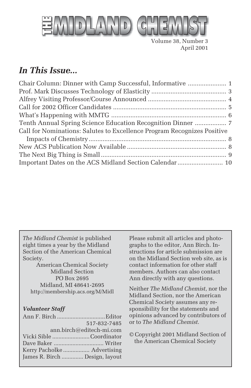

Volume 38, Number 3 April 2001

### *In This Issue...*

| Chair Column: Dinner with Camp Successful, Informative  1               |  |
|-------------------------------------------------------------------------|--|
|                                                                         |  |
|                                                                         |  |
|                                                                         |  |
|                                                                         |  |
| Tenth Annual Spring Science Education Recognition Dinner  7             |  |
| Call for Nominations: Salutes to Excellence Program Recognizes Positive |  |
|                                                                         |  |
|                                                                         |  |
|                                                                         |  |
| Important Dates on the ACS Midland Section Calendar  10                 |  |

*The Midland Chemist* is published eight times a year by the Midland Section of the American Chemical Society.

American Chemical Society Midland Section PO Box 2695 Midland, MI 48641-2695 http://membership.acs.org/M/Midl

#### *Volunteer Staff*

| 517-832-7485                   |  |
|--------------------------------|--|
| ann.birch@editech-mi.com       |  |
| Vicki Sible Coordinator        |  |
|                                |  |
|                                |  |
| James R. Birch  Design, layout |  |

Please submit all articles and photographs to the editor, Ann Birch. Instructions for article submission are on the Midland Section web site, as is contact information for other staff members. Authors can also contact Ann directly with any questions.

Neither *The Midland Chemist*, nor the Midland Section, nor the American Chemical Society assumes any responsibility for the statements and opinions advanced by contributors of or to *The Midland Chemist*.

© Copyright 2001 Midland Section of the American Chemical Society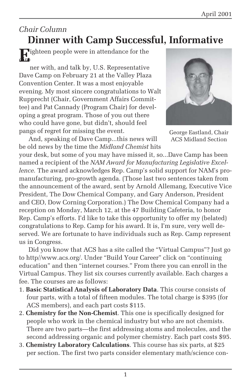#### *Chair Column*

## **Dinner with Camp Successful, Informative**

**E**ighteen people were in attendance for the

ner with, and talk by, U.S. Representative Dave Camp on February 21 at the Valley Plaza Convention Center. It was a most enjoyable evening. My most sincere congratulations to Walt Rupprecht (Chair, Government Affairs Committee) and Pat Cannady (Program Chair) for developing a great program. Those of you out there who could have gone, but didn't, should feel pangs of regret for missing the event.

And, speaking of Dave Camp...this news will be old news by the time the *Midland Chemist* hits



George Eastland, Chair ACS Midland Section

your desk, but some of you may have missed it, so...Dave Camp has been named a recipient of the *NAM Award for Manufacturing Legislative Excellence.* The award acknowledges Rep. Camp's solid support for NAM's promanufacturing, pro-growth agenda. (Those last two sentences taken from the announcement of the award, sent by Arnold Allemang, Executive Vice President, The Dow Chemical Company, and Gary Anderson, President and CEO, Dow Corning Corporation.) The Dow Chemical Company had a reception on Monday, March 12, at the 47 Building Cafeteria, to honor Rep. Camp's efforts. I'd like to take this opportunity to offer my (belated) congratulations to Rep. Camp for his award. It is, I'm sure, very well deserved. We are fortunate to have individuals such as Rep. Camp represent us in Congress.

Did you know that ACS has a site called the "Virtual Campus"? Just go to http//www.acs.org/. Under "Build Your Career" click on "continuing education" and then "internet courses." From there you can enroll in the Virtual Campus. They list six courses currently available. Each charges a fee. The courses are as follows:

- 1. **Basic Statistical Analysis of Laboratory Data**. This course consists of four parts, with a total of fifteen modules. The total charge is \$395 (for ACS members), and each part costs \$115.
- 2. **Chemistry for the Non-Chemist**. This one is specifically designed for people who work in the chemical industry but who are not chemists. There are two parts—the first addressing atoms and molecules, and the second addressing organic and polymer chemistry. Each part costs \$95.
- 3. **Chemistry Laboratory Calculations**. This course has six parts, at \$25 per section. The first two parts consider elementary math/science con-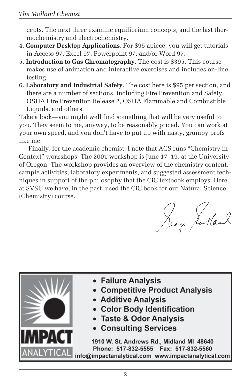cepts. The next three examine equilibrium concepts, and the last thermochemistry and electrochemistry.

- 4. **Computer Desktop Applications**. For \$95 apiece, you will get tutorials in Access 97, Excel 97, Powerpoint 97, and/or Word 97.
- 5. **Introduction to Gas Chromatography**. The cost is \$395. This course makes use of animation and interactive exercises and includes on-line testing.
- 6. **Laboratory and Industrial Safety**. The cost here is \$95 per section, and there are a number of sections, including Fire Prevention and Safety, OSHA Fire Prevention Release 2, OSHA Flammable and Combustible Liquids, and others.

Take a look—you might well find something that will be very useful to you. They seem to me, anyway, to be reasonably priced. You can work at your own speed, and you don't have to put up with nasty, grumpy profs like me.

Finally, for the academic chemist, I note that ACS runs "Chemistry in Context" workshops. The 2001 workshop is June 17–19, at the University of Oregon. The workshop provides an overview of the chemistry content, sample activities, laboratory experiments, and suggested assessment techniques in support of the philosophy that the CiC textbook employs. Here at SVSU we have, in the past, used the CiC book for our Natural Science (Chemistry) course.

Sery Jorkan

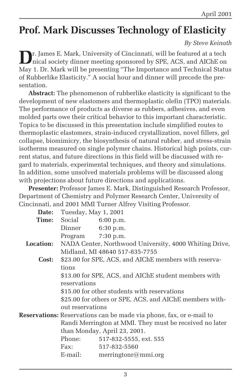## **Prof. Mark Discusses Technology of Elasticity**

#### *By Steve Keinath*

**D**r. James E. Mark, University of Cincinnati, will be featured at a tech nical society dinner meeting sponsored by SPE, ACS, and AIChE on May 1. Dr. Mark will be presenting "The Importance and Technical Status of Rubberlike Elasticity." A social hour and dinner will precede the presentation.

**Abstract:** The phenomenon of rubberlike elasticity is significant to the development of new elastomers and thermoplastic olefin (TPO) materials. The performance of products as diverse as rubbers, adhesives, and even molded parts owe their critical behavior to this important characteristic. Topics to be discussed in this presentation include simplified routes to thermoplastic elastomers, strain-induced crystallization, novel fillers, gel collapse, biomimicry, the biosynthesis of natural rubber, and stress-strain isotherms measured on single polymer chains. Historical high points, current status, and future directions in this field will be discussed with regard to materials, experimental techniques, and theory and simulations. In addition, some unsolved materials problems will be discussed along with projections about future directions and applications.

**Presenter:** Professor James E. Mark, Distinguished Research Professor, Department of Chemistry and Polymer Research Center, University of Cincinnati, and 2001 MMI Turner Alfrey Visiting Professor.

| Date:            | Tuesday, May 1, 2001                                                                                                    |                                                                            |  |
|------------------|-------------------------------------------------------------------------------------------------------------------------|----------------------------------------------------------------------------|--|
| Time:            | Social                                                                                                                  | $6:00$ p.m.                                                                |  |
|                  | Dinner                                                                                                                  | 6:30 p.m.                                                                  |  |
|                  | Program 7:30 p.m.                                                                                                       |                                                                            |  |
| <b>Location:</b> |                                                                                                                         | NADA Center, Northwood University, 4000 Whiting Drive,                     |  |
|                  |                                                                                                                         | Midland, MI 48640 517-835-7755                                             |  |
| Cost:            |                                                                                                                         | \$23.00 for SPE, ACS, and AIChE members with reserva-                      |  |
|                  | tions                                                                                                                   |                                                                            |  |
|                  |                                                                                                                         | \$13.00 for SPE, ACS, and AIChE student members with                       |  |
|                  | reservations<br>\$15.00 for other students with reservations<br>\$25.00 for others or SPE, ACS, and AIChE members with- |                                                                            |  |
|                  |                                                                                                                         |                                                                            |  |
|                  |                                                                                                                         |                                                                            |  |
|                  | out reservations                                                                                                        |                                                                            |  |
|                  |                                                                                                                         | <b>Reservations:</b> Reservations can be made via phone, fax, or e-mail to |  |
|                  |                                                                                                                         | Randi Merrington at MMI. They must be received no later                    |  |
|                  |                                                                                                                         | than Monday, April 23, 2001.                                               |  |
|                  | Phone:                                                                                                                  | 517-832-5555, ext. 555                                                     |  |
|                  | Fax:                                                                                                                    | 517-832-5560                                                               |  |
|                  | E-mail:                                                                                                                 | merringtonr@mmi.org                                                        |  |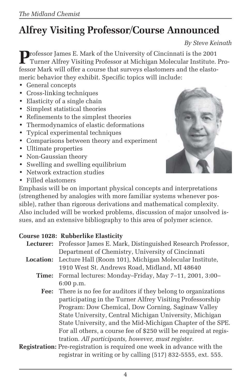## **Alfrey Visiting Professor/Course Announced**

*By Steve Keinath*

**P**rofessor James E. Mark of the University of Cincinnati is the 2001 Turner Alfrey Visiting Professor at Michigan Molecular Institute. Professor Mark will offer a course that surveys elastomers and the elastomeric behavior they exhibit. Specific topics will include:

- General concepts
- Cross-linking techniques
- Elasticity of a single chain
- Simplest statistical theories
- Refinements to the simplest theories
- Thermodynamics of elastic deformations
- Typical experimental techniques
- Comparisons between theory and experiment
- Ultimate properties
- Non-Gaussian theory
- Swelling and swelling equilibrium
- Network extraction studies
- Filled elastomers



Emphasis will be on important physical concepts and interpretations (strengthened by analogies with more familiar systems whenever possible), rather than rigorous derivations and mathematical complexity. Also included will be worked problems, discussion of major unsolved issues, and an extensive bibliography to this area of polymer science.

#### **Course 1028: Rubberlike Elasticity**

|                  | Lecturer: Professor James E. Mark, Distinguished Research Professor,           |
|------------------|--------------------------------------------------------------------------------|
|                  | Department of Chemistry, University of Cincinnati                              |
| <b>Location:</b> | Lecture Hall (Room 101), Michigan Molecular Institute,                         |
|                  | 1910 West St. Andrews Road, Midland, MI 48640                                  |
|                  | Time: Formal lectures: Monday-Friday, May 7-11, 2001, 3:00-                    |
|                  | 6:00 p.m.                                                                      |
|                  | <b>Fee:</b> There is no fee for auditors if they belong to organizations       |
|                  | participating in the Turner Alfrey Visiting Professorship                      |
|                  | Program: Dow Chemical, Dow Corning, Saginaw Valley                             |
|                  | State University, Central Michigan University, Michigan                        |
|                  | State University, and the Mid-Michigan Chapter of the SPE.                     |
|                  | For all others, a course fee of \$250 will be required at regis-               |
|                  | tration. All participants, however, must register.                             |
|                  | <b>Registration:</b> Pre-registration is required one week in advance with the |
|                  | registrar in writing or by calling (517) 832-5555, ext. 555.                   |

4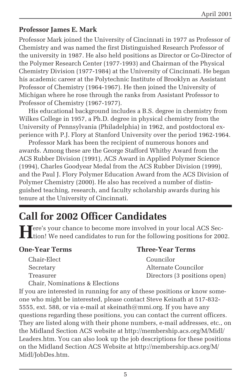#### **Professor James E. Mark**

Professor Mark joined the University of Cincinnati in 1977 as Professor of Chemistry and was named the first Distinguished Research Professor of the university in 1987. He also held positions as Director or Co-Director of the Polymer Research Center (1977-1993) and Chairman of the Physical Chemistry Division (1977-1984) at the University of Cincinnati. He began his academic career at the Polytechnic Institute of Brooklyn as Assistant Professor of Chemistry (1964-1967). He then joined the University of Michigan where he rose through the ranks from Assistant Professor to Professor of Chemistry (1967-1977).

His educational background includes a B.S. degree in chemistry from Wilkes College in 1957, a Ph.D. degree in physical chemistry from the University of Pennsylvania (Philadelphia) in 1962, and postdoctoral experience with P.J. Flory at Stanford University over the period 1962-1964.

Professor Mark has been the recipient of numerous honors and awards. Among these are the George Stafford Whitby Award from the ACS Rubber Division (1991), ACS Award in Applied Polymer Science (1994), Charles Goodyear Medal from the ACS Rubber Division (1999), and the Paul J. Flory Polymer Education Award from the ACS Division of Polymer Chemistry (2000). He also has received a number of distinguished teaching, research, and faculty scholarship awards during his tenure at the University of Cincinnati.

## **Call for 2002 Officer Candidates**

**T**ere's your chance to become more involved in your local ACS Section! We need candidates to run for the following positions for 2002.

| Chair-Elect                    |
|--------------------------------|
| Secretarv                      |
| Treasurer                      |
| Chair, Nominations & Elections |

#### **One-Year Terms Three-Year Terms**

Councilor Alternate Councilor Directors (3 positions open)

If you are interested in running for any of these positions or know someone who might be interested, please contact Steve Keinath at 517-832- 5555, ext. 588, or via e-mail at skeinath@mmi.org. If you have any questions regarding these positions, you can contact the current officers. They are listed along with their phone numbers, e-mail addresses, etc., on the Midland Section ACS website at http://membership.acs.org/M/Midl/ Leaders.htm. You can also look up the job descriptions for these positions on the Midland Section ACS Website at http://membership.acs.org/M/ Midl/JobDes.htm.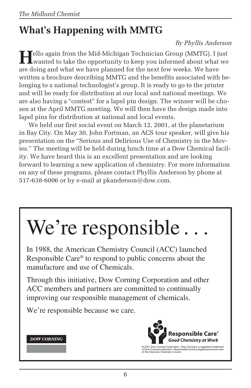## **What's Happening with MMTG**

#### *By Phyllis Anderson*

**T**ello again from the Mid-Michigan Technician Group (MMTG). I just wanted to take the opportunity to keep you informed about what we are doing and what we have planned for the next few weeks. We have written a brochure describing MMTG and the benefits associated with belonging to a national technologist's group. It is ready to go to the printer and will be ready for distribution at our local and national meetings. We are also having a "contest" for a lapel pin design. The winner will be chosen at the April MMTG meeting. We will then have the design made into lapel pins for distribution at national and local events.

We held our first social event on March 12, 2001, at the planetarium in Bay City. On May 30, John Fortman, an ACS tour speaker, will give his presentation on the "Serious and Delirious Use of Chemistry in the Movies." The meeting will be held during lunch time at a Dow Chemical facility. We have heard this is an excellent presentation and are looking forward to learning a new application of chemistry. For more information on any of these programs, please contact Phyllis Anderson by phone at 517-638-6006 or by e-mail at pkanderson@dow.com.

# We're responsible.

In 1988, the American Chemistry Council (ACC) launched Responsible Care® to respond to public concerns about the manufacture and use of Chemicals.

Through this initiative, Dow Corning Corporation and other ACC members and partners are committed to continually improving our responsible management of chemicals.

We're responsible because we care.





© 2001 Dow Corning Corporation. *Dow Corning* is a registered trademark<br>of Dow Corning Corporation. *Responsible Care* is a registered service mark<br>of the American Chemistry Council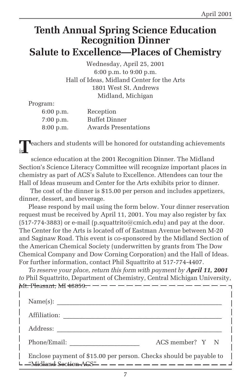## **Tenth Annual Spring Science Education Recognition Dinner Salute to Excellence—Places of Chemistry**

Wednesday, April 25, 2001 6:00 p.m. to 9:00 p.m. Hall of Ideas, Midland Center for the Arts 1801 West St. Andrews Midland, Michigan

Program:

| 6:00 p.m.   | Reception                   |
|-------------|-----------------------------|
| $7:00$ p.m. | <b>Buffet Dinner</b>        |
| $8:00$ p.m. | <b>Awards Presentations</b> |

**T**eachers and students will be honored for outstanding achievements<br>in the case of the case of the case of the case of the case of the case of the case of the case of the case of the case of the case of the case of the ca

science education at the 2001 Recognition Dinner. The Midland Section's Science Literacy Committee will recognize important places in chemistry as part of ACS's Salute to Excellence. Attendees can tour the Hall of Ideas museum and Center for the Arts exhibits prior to dinner.

 The cost of the dinner is \$15.00 per person and includes appetizers, dinner, dessert, and beverage.

Please respond by mail using the form below. Your dinner reservation request must be received by April 11, 2001. You may also register by fax  $(517-774-3883)$  or e-mail (p.squattrito@cmich.edu) and pay at the door. The Center for the Arts is located off of Eastman Avenue between M-20 and Saginaw Road. This event is co-sponsored by the Midland Section of the American Chemical Society (underwritten by grants from The Dow Chemical Company and Dow Corning Corporation) and the Hall of Ideas. For further information, contact Phil Squattrito at 517-774-4407.

*To reserve your place, return this form with payment by April 11, 2001 to* Phil Squattrito, Department of Chemistry, Central Michigan University, Mt. Pleasant, MI 48859.

| Name(s):                                                           |                 |
|--------------------------------------------------------------------|-----------------|
| Affiliation:                                                       |                 |
| Address:                                                           |                 |
| Phone/Email:                                                       | ACS member? Y N |
| Enclose payment of \$15.00 per person. Checks should be payable to |                 |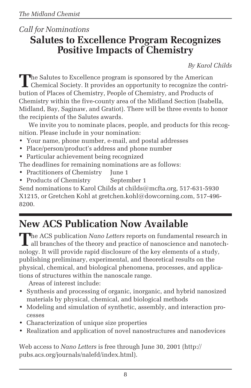#### *Call for Nominations* **Salutes to Excellence Program Recognizes Positive Impacts of Chemistry**

*By Karol Childs*

The Salutes to Excellence program is sponsored by the American<br>Chemical Society. It provides an opportunity to recognize the contribution of Places of Chemistry, People of Chemistry, and Products of Chemistry within the five-county area of the Midland Section (Isabella, Midland, Bay, Saginaw, and Gratiot). There will be three events to honor the recipients of the Salutes awards.

We invite you to nominate places, people, and products for this recognition. Please include in your nomination:

- Your name, phone number, e-mail, and postal addresses
- Place/person/product's address and phone number
- Particular achievement being recognized

The deadlines for remaining nominations are as follows:

- Practitioners of Chemistry June 1
- Products of Chemistry September 1

Send nominations to Karol Childs at childs@mcfta.org, 517-631-5930 X1215, or Gretchen Kohl at gretchen.kohl@dowcorning.com, 517-496- 8200.

## **New ACS Publication Now Available**

**The ACS publication** Nano Letters reports on fundamental research in all branches of the theory and practice of nanoscience and nanotechnology. It will provide rapid disclosure of the key elements of a study, publishing preliminary, experimental, and theoretical results on the physical, chemical, and biological phenomena, processes, and applications of structures within the nanoscale range.

Areas of interest include:

- Synthesis and processing of organic, inorganic, and hybrid nanosized materials by physical, chemical, and biological methods
- Modeling and simulation of synthetic, assembly, and interaction processes
- Characterization of unique size properties
- Realization and application of novel nanostructures and nanodevices

Web access to *Nano Letters* is free through June 30, 2001 (http:// pubs.acs.org/journals/nalefd/index.html).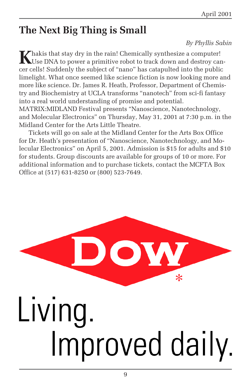## **The Next Big Thing is Small**

#### *By Phyllis Sabin*

Khakis that stay dry in the rain! Chemically synthesize a computer!<br>Use DNA to power a primitive robot to track down and destroy cancer cells! Suddenly the subject of "nano" has catapulted into the public limelight. What once seemed like science fiction is now looking more and more like science. Dr. James R. Heath, Professor, Department of Chemistry and Biochemistry at UCLA transforms "nanotech" from sci-fi fantasy into a real world understanding of promise and potential. MATRIX:MIDLAND Festival presents "Nanoscience, Nanotechnology, and Molecular Electronics" on Thursday, May 31, 2001 at 7:30 p.m. in the Midland Center for the Arts Little Theatre.

Tickets will go on sale at the Midland Center for the Arts Box Office for Dr. Heath's presentation of "Nanoscience, Nanotechnology, and Molecular Electronics" on April 5, 2001. Admission is \$15 for adults and \$10 for students. Group discounts are available for groups of 10 or more. For additional information and to purchase tickets, contact the MCFTA Box Office at (517) 631-8250 or (800) 523-7649.